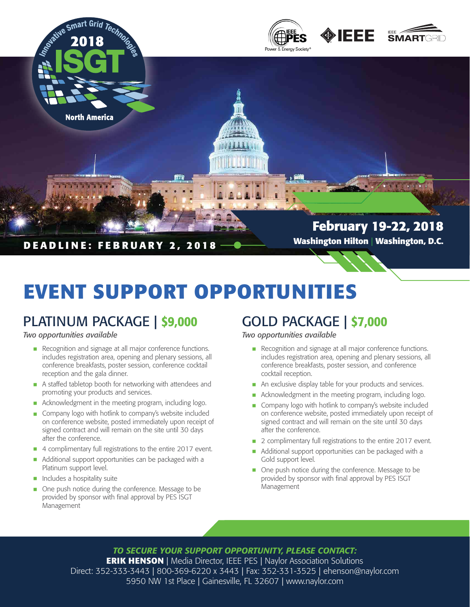

# **EVENT SUPPORT OPPORTUNITIES**

## PLATINUM PACKAGE | \$9,000

### *Two opportunities available*

- Recognition and signage at all major conference functions.<br>
includes registration area opening and plenary sessions, all includes registration area, opening and plenary sessions, all conference breakfasts, poster session, conference cocktail reception and the gala dinner.
- A staffed tabletop booth for networking with attendees and<br>promoting your products and sensites promoting your products and services.
- Acknowledgment in the meeting program, including logo.
- Company logo with hotlink to company's website included<br>
on conference website posted immediately upon receipt on on conference website, posted immediately upon receipt of signed contract and will remain on the site until 30 days after the conference.
- 4 complimentary full registrations to the entire 2017 event.
- Additional support opportunities can be packaged with a Platinum support level. •
- Includes a hospitality suite
- One push notice during the conference. Message to be provided by sponsor with final approval by PES ISCT provided by sponsor with final approval by PES ISGT Management

### GOLD PACKAGE | \$7,000

### *Two opportunities available*

- Recognition and signage at all major conference functions.<br>
includes registration area opening and plenary sessions, all includes registration area, opening and plenary sessions, all conference breakfasts, poster session, and conference cocktail reception.
- An exclusive display table for your products and services.
- Acknowledgment in the meeting program, including logo.
- Company logo with hotlink to company's website included<br>
on conference website posted immediately upon receipt on on conference website, posted immediately upon receipt of signed contract and will remain on the site until 30 days after the conference.
- 2 complimentary full registrations to the entire 2017 event.
- Additional support opportunities can be packaged with a Cold support level Gold support level.
- One push notice during the conference. Message to be provided by concornwith final approval by PES ISCT. provided by sponsor with final approval by PES ISGT Management

*TO SECURE YOUR SUPPORT OPPORTUNITY, PLEASE CONTACT:* **ERIK HENSON** | Media Director, IEEE PES | Naylor Association Solutions Direct: 352-333-3443 | 800-369-6220 x 3443 | Fax: 352-331-3525 | ehenson@naylor.com 5950 NW 1st Place | Gainesville, FL 32607 | www.naylor.com